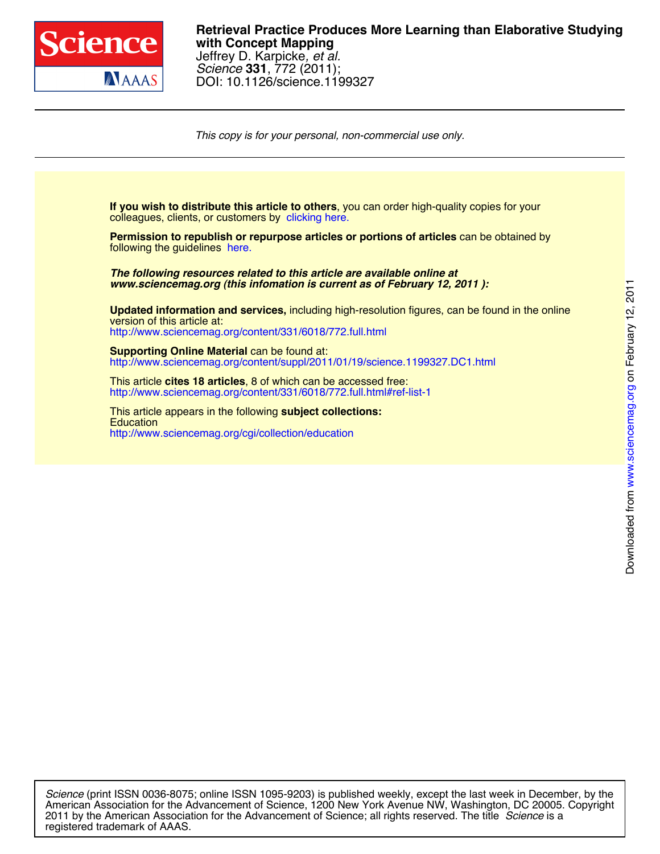

## DOI: 10.1126/science.1199327 *Science* **331**, 772 (2011); Jeffrey D. Karpicke*, et al.* **with Concept Mapping Retrieval Practice Produces More Learning than Elaborative Studying**

*This copy is for your personal, non-commercial use only.*

colleagues, clients, or customers by [clicking here.](http://www.sciencemag.org/about/permissions.dtl) **If you wish to distribute this article to others**, you can order high-quality copies for your

following the guidelines [here.](http://www.sciencemag.org/about/permissions.dtl) **Permission to republish or repurpose articles or portions of articles** can be obtained by

*www.sciencemag.org (this infomation is current as of February 12, 2011 ): The following resources related to this article are available online at*

<http://www.sciencemag.org/content/331/6018/772.full.html> version of this article at: **Updated information and services,** including high-resolution figures, can be found in the online

<http://www.sciencemag.org/content/suppl/2011/01/19/science.1199327.DC1.html> **Supporting Online Material can be found at:** 

<http://www.sciencemag.org/content/331/6018/772.full.html#ref-list-1> This article **cites 18 articles**, 8 of which can be accessed free:

<http://www.sciencemag.org/cgi/collection/education> **Education** This article appears in the following **subject collections:**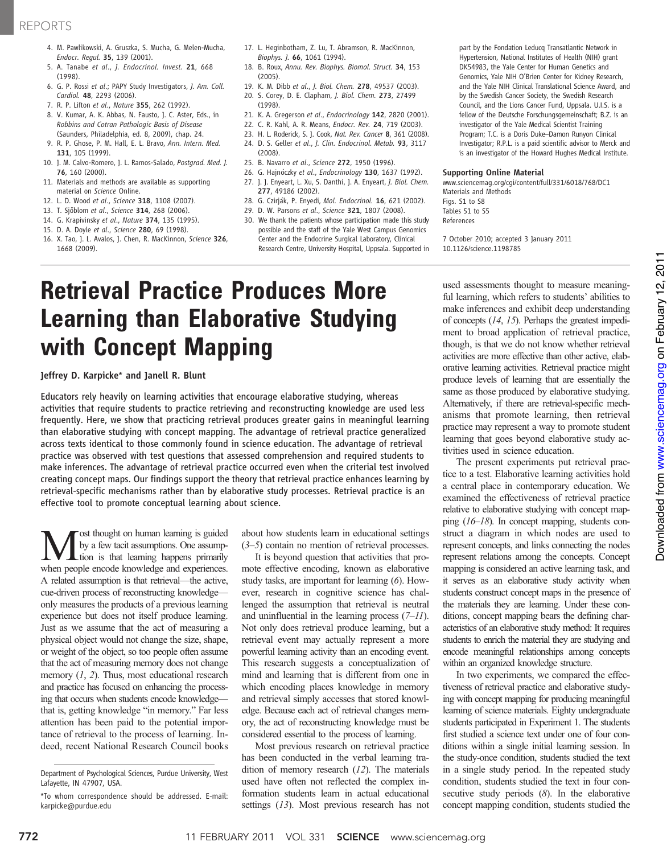# REPORTS

- 4. M. Pawlikowski, A. Gruszka, S. Mucha, G. Melen-Mucha, Endocr. Regul. 35, 139 (2001).
- 5. A. Tanabe et al., J. Endocrinol. Invest. 21, 668 (1998).
- 6. G. P. Rossi et al.; PAPY Study Investigators, J. Am. Coll. Cardiol. 48, 2293 (2006).
- 7. R. P. Lifton et al., Nature 355, 262 (1992).
- 8. V. Kumar, A. K. Abbas, N. Fausto, J. C. Aster, Eds., in Robbins and Cotran Pathologic Basis of Disease (Saunders, Philadelphia, ed. 8, 2009), chap. 24.
- 9. R. P. Ghose, P. M. Hall, E. L. Bravo, Ann. Intern. Med. 131, 105 (1999).
- 10. J. M. Calvo-Romero, J. L. Ramos-Salado, Postgrad. Med. J. 76, 160 (2000).
- 11. Materials and methods are available as supporting material on Science Online.
- 12. L. D. Wood et al., Science 318, 1108 (2007).
- 13. T. Sjöblom et al., Science 314, 268 (2006).
- 14. G. Krapivinsky et al., Nature 374, 135 (1995).
- 15. D. A. Doyle et al., Science 280, 69 (1998).
- 16. X. Tao, J. L. Avalos, J. Chen, R. MacKinnon, Science 326, 1668 (2009).
- 17. L. Heginbotham, Z. Lu, T. Abramson, R. MacKinnon, Biophys. J. 66, 1061 (1994).
- 18. B. Roux, Annu. Rev. Biophys. Biomol. Struct. 34, 153 (2005).
- 19. K. M. Dibb et al., J. Biol. Chem. 278, 49537 (2003). 20. S. Corey, D. E. Clapham, J. Biol. Chem. 273, 27499
- (1998).
- 21. K. A. Gregerson et al., Endocrinology 142, 2820 (2001).
- 22. C. R. Kahl, A. R. Means, Endocr. Rev. 24, 719 (2003).
- 23. H. L. Roderick, S. J. Cook, Nat. Rev. Cancer 8, 361 (2008).
- 24. D. S. Geller et al., J. Clin. Endocrinol. Metab. 93, 3117 (2008).
- 25. B. Navarro et al., Science 272, 1950 (1996).
- 26. G. Hajnóczky et al., Endocrinology 130, 1637 (1992). 27. J. J. Enyeart, L. Xu, S. Danthi, J. A. Enyeart, J. Biol. Chem. 277, 49186 (2002).
- 28. G. Czirják, P. Enyedi, Mol. Endocrinol. 16, 621 (2002).
- 29. D. W. Parsons et al., Science 321, 1807 (2008).
- 30. We thank the patients whose participation made this study possible and the staff of the Yale West Campus Genomics Center and the Endocrine Surgical Laboratory, Clinical Research Centre, University Hospital, Uppsala. Supported in

part by the Fondation Leducq Transatlantic Network in Hypertension, National Institutes of Health (NIH) grant DK54983, the Yale Center for Human Genetics and Genomics, Yale NIH O'Brien Center for Kidney Research, and the Yale NIH Clinical Translational Science Award, and by the Swedish Cancer Society, the Swedish Research Council, and the Lions Cancer Fund, Uppsala. U.I.S. is a fellow of the Deutsche Forschungsgemeinschaft; B.Z. is an investigator of the Yale Medical Scientist Training Program; T.C. is a Doris Duke–Damon Runyon Clinical Investigator; R.P.L. is a paid scientific advisor to Merck and is an investigator of the Howard Hughes Medical Institute.

### Supporting Online Material

www.sciencemag.org/cgi/content/full/331/6018/768/DC1 Materials and Methods Figs. S1 to S8 Tables S1 to S5 References

7 October 2010; accepted 3 January 2011 10.1126/science.1198785

# Retrieval Practice Produces More Learning than Elaborative Studying with Concept Mapping

## Jeffrey D. Karpicke\* and Janell R. Blunt

Educators rely heavily on learning activities that encourage elaborative studying, whereas activities that require students to practice retrieving and reconstructing knowledge are used less frequently. Here, we show that practicing retrieval produces greater gains in meaningful learning than elaborative studying with concept mapping. The advantage of retrieval practice generalized across texts identical to those commonly found in science education. The advantage of retrieval practice was observed with test questions that assessed comprehension and required students to make inferences. The advantage of retrieval practice occurred even when the criterial test involved creating concept maps. Our findings support the theory that retrieval practice enhances learning by retrieval-specific mechanisms rather than by elaborative study processes. Retrieval practice is an effective tool to promote conceptual learning about science.

**M** ost thought on human learning is guided<br>tion is that learning happens primarily<br>when people nearly allow the primarily by a few tacit assumptions. One assumpwhen people encode knowledge and experiences. A related assumption is that retrieval—the active, cue-driven process of reconstructing knowledge only measures the products of a previous learning experience but does not itself produce learning. Just as we assume that the act of measuring a physical object would not change the size, shape, or weight of the object, so too people often assume that the act of measuring memory does not change memory  $(1, 2)$ . Thus, most educational research and practice has focused on enhancing the processing that occurs when students encode knowledge that is, getting knowledge "in memory." Far less attention has been paid to the potential importance of retrieval to the process of learning. Indeed, recent National Research Council books

about how students learn in educational settings (3–5) contain no mention of retrieval processes.

It is beyond question that activities that promote effective encoding, known as elaborative study tasks, are important for learning (6). However, research in cognitive science has challenged the assumption that retrieval is neutral and uninfluential in the learning process  $(7-11)$ . Not only does retrieval produce learning, but a retrieval event may actually represent a more powerful learning activity than an encoding event. This research suggests a conceptualization of mind and learning that is different from one in which encoding places knowledge in memory and retrieval simply accesses that stored knowledge. Because each act of retrieval changes memory, the act of reconstructing knowledge must be considered essential to the process of learning.

Most previous research on retrieval practice has been conducted in the verbal learning tradition of memory research (12). The materials used have often not reflected the complex information students learn in actual educational settings (13). Most previous research has not used assessments thought to measure meaningful learning, which refers to students' abilities to make inferences and exhibit deep understanding of concepts (14, 15). Perhaps the greatest impediment to broad application of retrieval practice, though, is that we do not know whether retrieval activities are more effective than other active, elaborative learning activities. Retrieval practice might produce levels of learning that are essentially the same as those produced by elaborative studying. Alternatively, if there are retrieval-specific mechanisms that promote learning, then retrieval practice may represent a way to promote student learning that goes beyond elaborative study activities used in science education.

The present experiments put retrieval practice to a test. Elaborative learning activities hold a central place in contemporary education. We examined the effectiveness of retrieval practice relative to elaborative studying with concept mapping (16–18). In concept mapping, students construct a diagram in which nodes are used to represent concepts, and links connecting the nodes represent relations among the concepts. Concept mapping is considered an active learning task, and it serves as an elaborative study activity when students construct concept maps in the presence of the materials they are learning. Under these conditions, concept mapping bears the defining characteristics of an elaborative study method: It requires students to enrich the material they are studying and encode meaningful relationships among concepts within an organized knowledge structure.

In two experiments, we compared the effectiveness of retrieval practice and elaborative studying with concept mapping for producing meaningful learning of science materials. Eighty undergraduate students participated in Experiment 1. The students first studied a science text under one of four conditions within a single initial learning session. In the study-once condition, students studied the text in a single study period. In the repeated study condition, students studied the text in four consecutive study periods  $(8)$ . In the elaborative concept mapping condition, students studied the

Department of Psychological Sciences, Purdue University, West Lafayette, IN 47907, USA.

<sup>\*</sup>To whom correspondence should be addressed. E-mail: karpicke@purdue.edu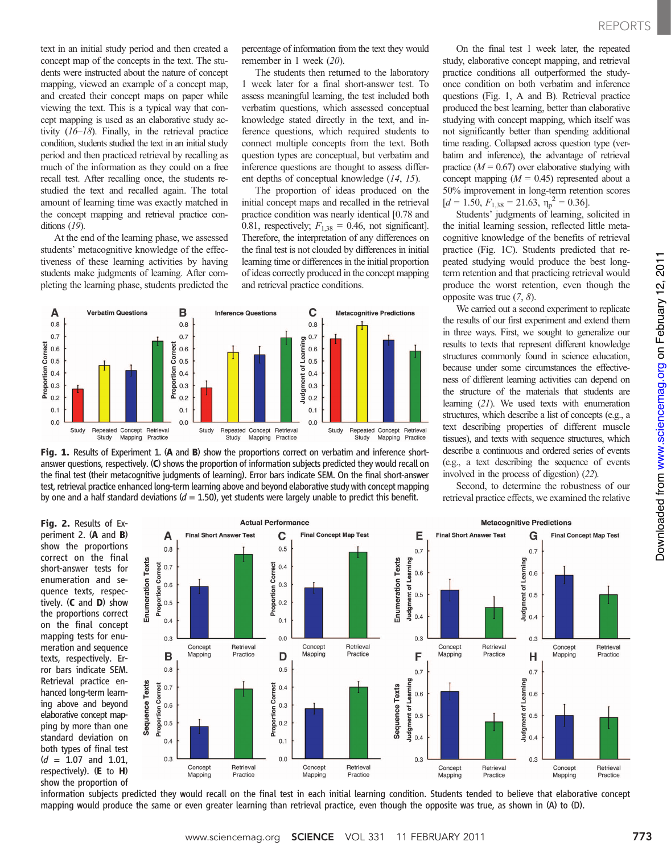text in an initial study period and then created a concept map of the concepts in the text. The students were instructed about the nature of concept mapping, viewed an example of a concept map, and created their concept maps on paper while viewing the text. This is a typical way that concept mapping is used as an elaborative study activity (16–18). Finally, in the retrieval practice condition, students studied the text in an initial study period and then practiced retrieval by recalling as much of the information as they could on a free recall test. After recalling once, the students restudied the text and recalled again. The total amount of learning time was exactly matched in the concept mapping and retrieval practice conditions (19).

At the end of the learning phase, we assessed students' metacognitive knowledge of the effectiveness of these learning activities by having students make judgments of learning. After completing the learning phase, students predicted the

percentage of information from the text they would remember in 1 week (20).

The students then returned to the laboratory 1 week later for a final short-answer test. To assess meaningful learning, the test included both verbatim questions, which assessed conceptual knowledge stated directly in the text, and inference questions, which required students to connect multiple concepts from the text. Both question types are conceptual, but verbatim and inference questions are thought to assess different depths of conceptual knowledge (14, 15).

The proportion of ideas produced on the initial concept maps and recalled in the retrieval practice condition was nearly identical [0.78 and 0.81, respectively;  $F_{1,38} = 0.46$ , not significant]. Therefore, the interpretation of any differences on the final test is not clouded by differences in initial learning time or differences in the initial proportion of ideas correctly produced in the concept mapping and retrieval practice conditions.



Fig. 1. Results of Experiment 1. (A and B) show the proportions correct on verbatim and inference shortanswer questions, respectively. (C) shows the proportion of information subjects predicted they would recall on the final test (their metacognitive judgments of learning). Error bars indicate SEM. On the final short-answer test, retrieval practice enhanced long-term learning above and beyond elaborative study with concept mapping by one and a half standard deviations  $(d = 1.50)$ , yet students were largely unable to predict this benefit.

On the final test 1 week later, the repeated study, elaborative concept mapping, and retrieval practice conditions all outperformed the studyonce condition on both verbatim and inference questions (Fig. 1, A and B). Retrieval practice produced the best learning, better than elaborative studying with concept mapping, which itself was not significantly better than spending additional time reading. Collapsed across question type (verbatim and inference), the advantage of retrieval practice  $(M = 0.67)$  over elaborative studying with concept mapping  $(M = 0.45)$  represented about a 50% improvement in long-term retention scores  $[d = 1.50, F_{1,38} = 21.63, \eta_p^2 = 0.36].$ 

Students' judgments of learning, solicited in the initial learning session, reflected little metacognitive knowledge of the benefits of retrieval practice (Fig. 1C). Students predicted that repeated studying would produce the best longterm retention and that practicing retrieval would produce the worst retention, even though the opposite was true  $(7, 8)$ .

We carried out a second experiment to replicate the results of our first experiment and extend them in three ways. First, we sought to generalize our results to texts that represent different knowledge structures commonly found in science education, because under some circumstances the effectiveness of different learning activities can depend on the structure of the materials that students are learning (21). We used texts with enumeration structures, which describe a list of concepts (e.g., a text describing properties of different muscle tissues), and texts with sequence structures, which describe a continuous and ordered series of events (e.g., a text describing the sequence of events involved in the process of digestion) (22).

Downloaded from www.sciencemag.org on February 12, 2011 on February 12, 2011 [www.sciencemag.org](http://www.sciencemag.org/) Downloaded from

Second, to determine the robustness of our retrieval practice effects, we examined the relative

periment 2. (A and B) show the proportions correct on the final short-answer tests for enumeration and sequence texts, respectively. (C and D) show the proportions correct on the final concept mapping tests for enumeration and sequence texts, respectively. Error bars indicate SEM. Retrieval practice enhanced long-term learning above and beyond elaborative concept mapping by more than one standard deviation on both types of final test  $(d = 1.07$  and 1.01, respectively). (E to H) show the proportion of

Fig. 2. Results of Ex-



information subjects predicted they would recall on the final test in each initial learning condition. Students tended to believe that elaborative concept mapping would produce the same or even greater learning than retrieval practice, even though the opposite was true, as shown in (A) to (D).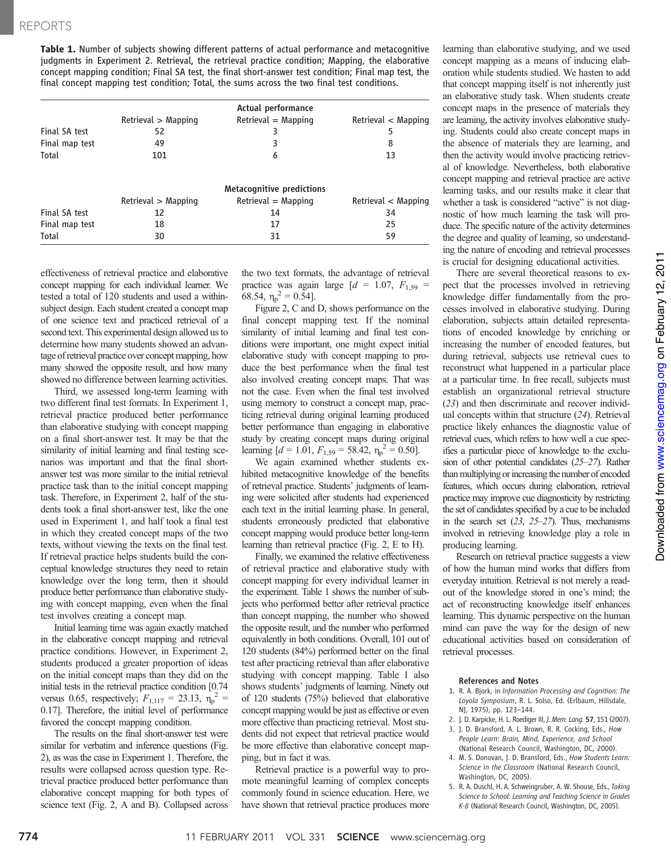Table 1. Number of subjects showing different patterns of actual performance and metacognitive judgments in Experiment 2. Retrieval, the retrieval practice condition; Mapping, the elaborative concept mapping condition; Final SA test, the final short-answer test condition; Final map test, the final concept mapping test condition; Total, the sums across the two final test conditions.

|                | Actual performance               |                       |                       |
|----------------|----------------------------------|-----------------------|-----------------------|
|                | $Retrieval$ > Mapping            | $Retrieval = Mapping$ | $Retrieval <$ Mapping |
| Final SA test  | 52                               | 3                     | 5                     |
| Final map test | 49                               | 3                     | 8                     |
| Total          | 101                              | 6                     | 13                    |
|                | <b>Metacognitive predictions</b> |                       |                       |
|                | $Retrieval$ > Mapping            | $Retrieval = Mapping$ | $Retrieval <$ Mapping |
| Final SA test  | 12                               | 14                    | 34                    |
| Final map test | 18                               | 17                    | 25                    |
| Total          | 30                               | 31                    | 59                    |

effectiveness of retrieval practice and elaborative concept mapping for each individual learner. We tested a total of 120 students and used a withinsubject design. Each student created a concept map of one science text and practiced retrieval of a second text. This experimental design allowed us to determine how many students showed an advantage of retrieval practice over concept mapping, how many showed the opposite result, and how many showed no difference between learning activities.

Third, we assessed long-term learning with two different final test formats. In Experiment 1, retrieval practice produced better performance than elaborative studying with concept mapping on a final short-answer test. It may be that the similarity of initial learning and final testing scenarios was important and that the final shortanswer test was more similar to the initial retrieval practice task than to the initial concept mapping task. Therefore, in Experiment 2, half of the students took a final short-answer test, like the one used in Experiment 1, and half took a final test in which they created concept maps of the two texts, without viewing the texts on the final test. If retrieval practice helps students build the conceptual knowledge structures they need to retain knowledge over the long term, then it should produce better performance than elaborative studying with concept mapping, even when the final test involves creating a concept map.

Initial learning time was again exactly matched in the elaborative concept mapping and retrieval practice conditions. However, in Experiment 2, students produced a greater proportion of ideas on the initial concept maps than they did on the initial tests in the retrieval practice condition [0.74 versus 0.65, respectively;  $F_{1,117} = 23.13$ ,  $n_p^2 =$ 0.17]. Therefore, the initial level of performance favored the concept mapping condition.

The results on the final short-answer test were similar for verbatim and inference questions (Fig. 2), as was the case in Experiment 1. Therefore, the results were collapsed across question type. Retrieval practice produced better performance than elaborative concept mapping for both types of science text (Fig. 2, A and B). Collapsed across

the two text formats, the advantage of retrieval practice was again large  $d = 1.07$ ,  $F_{1.59}$  = 68.54,  $\eta_p^2 = 0.54$ .

Figure 2, C and D, shows performance on the final concept mapping test. If the nominal similarity of initial learning and final test conditions were important, one might expect initial elaborative study with concept mapping to produce the best performance when the final test also involved creating concept maps. That was not the case. Even when the final test involved using memory to construct a concept map, practicing retrieval during original learning produced better performance than engaging in elaborative study by creating concept maps during original learning  $[d = 1.01, F_{1,59} = 58.42, \eta_p^2 = 0.50]$ .

We again examined whether students exhibited metacognitive knowledge of the benefits of retrieval practice. Students' judgments of learning were solicited after students had experienced each text in the initial learning phase. In general, students erroneously predicted that elaborative concept mapping would produce better long-term learning than retrieval practice (Fig. 2, E to H).

Finally, we examined the relative effectiveness of retrieval practice and elaborative study with concept mapping for every individual learner in the experiment. Table 1 shows the number of subjects who performed better after retrieval practice than concept mapping, the number who showed the opposite result, and the number who performed equivalently in both conditions. Overall, 101 out of 120 students (84%) performed better on the final test after practicing retrieval than after elaborative studying with concept mapping. Table 1 also shows students' judgments of learning. Ninety out of 120 students (75%) believed that elaborative concept mapping would be just as effective or even more effective than practicing retrieval. Most students did not expect that retrieval practice would be more effective than elaborative concept mapping, but in fact it was.

Retrieval practice is a powerful way to promote meaningful learning of complex concepts commonly found in science education. Here, we have shown that retrieval practice produces more

learning than elaborative studying, and we used concept mapping as a means of inducing elaboration while students studied. We hasten to add that concept mapping itself is not inherently just an elaborative study task. When students create concept maps in the presence of materials they are learning, the activity involves elaborative studying. Students could also create concept maps in the absence of materials they are learning, and then the activity would involve practicing retrieval of knowledge. Nevertheless, both elaborative concept mapping and retrieval practice are active learning tasks, and our results make it clear that whether a task is considered "active" is not diagnostic of how much learning the task will produce. The specific nature of the activity determines the degree and quality of learning, so understanding the nature of encoding and retrieval processes is crucial for designing educational activities.

There are several theoretical reasons to expect that the processes involved in retrieving knowledge differ fundamentally from the processes involved in elaborative studying. During elaboration, subjects attain detailed representations of encoded knowledge by enriching or increasing the number of encoded features, but during retrieval, subjects use retrieval cues to reconstruct what happened in a particular place at a particular time. In free recall, subjects must establish an organizational retrieval structure (23) and then discriminate and recover individual concepts within that structure (24). Retrieval practice likely enhances the diagnostic value of retrieval cues, which refers to how well a cue specifies a particular piece of knowledge to the exclusion of other potential candidates (25–27). Rather than multiplying or increasing the number of encoded features, which occurs during elaboration, retrieval practice may improve cue diagnosticity by restricting the set of candidates specified by a cue to be included in the search set (23, 25–27). Thus, mechanisms involved in retrieving knowledge play a role in producing learning.

Research on retrieval practice suggests a view of how the human mind works that differs from everyday intuition. Retrieval is not merely a readout of the knowledge stored in one's mind; the act of reconstructing knowledge itself enhances learning. This dynamic perspective on the human mind can pave the way for the design of new educational activities based on consideration of retrieval processes.

### References and Notes

- 1. R. A. Bjork, in Information Processing and Cognition: The Loyola Symposium, R. L. Solso, Ed. (Erlbaum, Hillsdale, NJ, 1975), pp. 123–144.
- 2. J. D. Karpicke, H. L. Roediger III, J. Mem. Lang. 57, 151 (2007).
- 3. J. D. Bransford, A. L. Brown, R. R. Cocking, Eds., How People Learn: Brain, Mind, Experience, and School (National Research Council, Washington, DC, 2000).
- 4. M. S. Donovan, J. D. Bransford, Eds., How Students Learn: Science in the Classroom (National Research Council, Washington, DC, 2005).
- 5. R. A. Duschl, H. A. Schweingruber, A. W. Shouse, Eds., Taking Science to School: Learning and Teaching Science in Grades K-8 (National Research Council, Washington, DC, 2005).